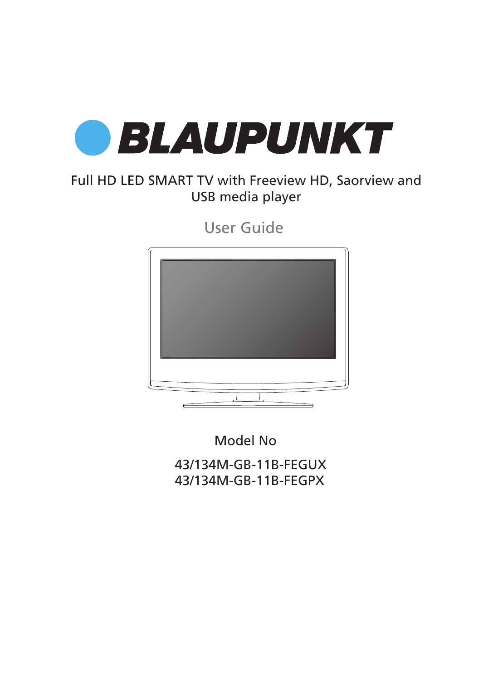

### Full HD LED SMART TV with Freeview HD, Saorview and USB media player

User Guide



43/134M-GB-11B-FEGUX 43/134M-GB-11B-FEGPX Model No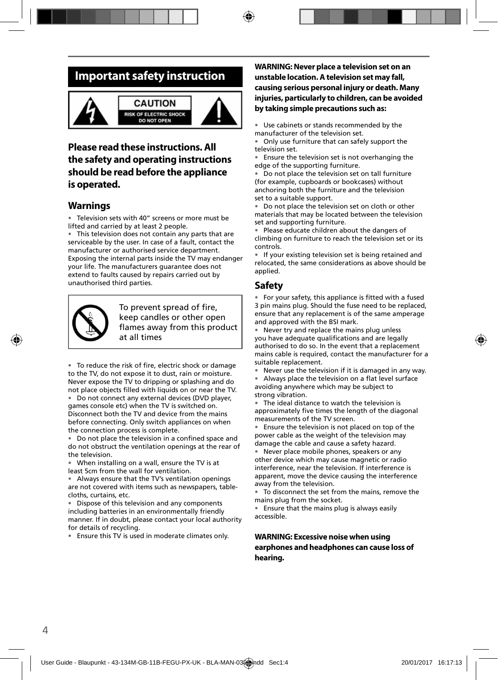### **Important safety instruction**



#### **CAUTION RISK OF ELECTRIC SHOCK DO NOT OPEN**



#### **Please read these instructions. All the safety and operating instructions should be read before the appliance is operated.**

#### **Warnings**

• Television sets with 40" screens or more must be lifted and carried by at least 2 people.

This television does not contain any parts that are serviceable by the user. In case of a fault, contact the manufacturer or authorised service department. Exposing the internal parts inside the TV may endanger your life. The manufacturers guarantee does not extend to faults caused by repairs carried out by unauthorised third parties.



To prevent spread of fire, keep candles or other open flames away from this product at all times

• To reduce the risk of fire, electric shock or damage to the TV, do not expose it to dust, rain or moisture. Never expose the TV to dripping or splashing and do not place objects filled with liquids on or near the TV.

• Do not connect any external devices (DVD player, games console etc) when the TV is switched on. Disconnect both the TV and device from the mains before connecting. Only switch appliances on when the connection process is complete.

Do not place the television in a confined space and do not obstruct the ventilation openings at the rear of the television.

• When installing on a wall, ensure the TV is at least 5cm from the wall for ventilation.

• Always ensure that the TV's ventilation openings are not covered with items such as newspapers, tablecloths, curtains, etc.

• Dispose of this television and any components including batteries in an environmentally friendly manner. If in doubt, please contact your local authority for details of recycling.

• Ensure this TV is used in moderate climates only.

#### **WARNING: Never place a television set on an unstable location. A television set may fall, causing serious personal injury or death. Many injuries, particularly to children, can be avoided by taking simple precautions such as:**

Use cabinets or stands recommended by the manufacturer of the television set.

• Only use furniture that can safely support the television set.

Ensure the television set is not overhanging the edge of the supporting furniture.

• Do not place the television set on tall furniture (for example, cupboards or bookcases) without anchoring both the furniture and the television set to a suitable support.

• Do not place the television set on cloth or other materials that may be located between the television set and supporting furniture.

Please educate children about the dangers of climbing on furniture to reach the television set or its controls.

• If your existing television set is being retained and relocated, the same considerations as above should be applied.

#### **Safety**

• For your safety, this appliance is fitted with a fused 3 pin mains plug. Should the fuse need to be replaced, ensure that any replacement is of the same amperage and approved with the BSI mark.

• Never try and replace the mains plug unless you have adequate qualifications and are legally authorised to do so. In the event that a replacement mains cable is required, contact the manufacturer for a suitable replacement.

Never use the television if it is damaged in any way.

• Always place the television on a flat level surface avoiding anywhere which may be subject to strong vibration.

• The ideal distance to watch the television is approximately five times the length of the diagonal measurements of the TV screen.

Ensure the television is not placed on top of the power cable as the weight of the television may damage the cable and cause a safety hazard.

• Never place mobile phones, speakers or any other device which may cause magnetic or radio interference, near the television. If interference is apparent, move the device causing the interference away from the television.

To disconnect the set from the mains, remove the mains plug from the socket.

• Ensure that the mains plug is always easily accessible.

#### **WARNING: Excessive noise when using earphones and headphones can cause loss of hearing.**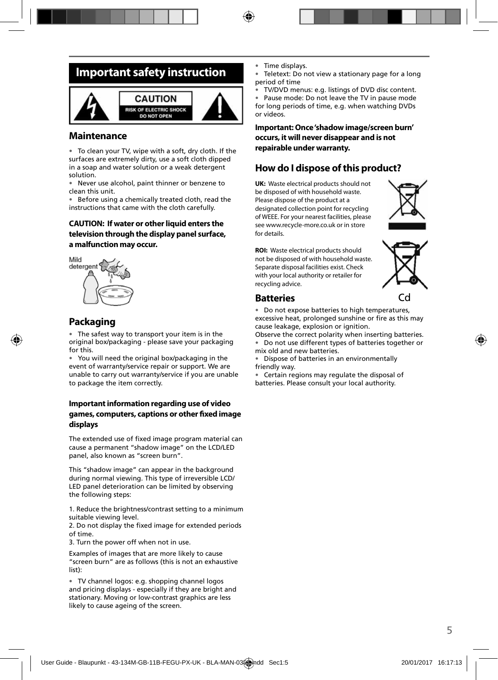### **Important safety instruction**



#### **Maintenance**

• To clean your TV, wipe with a soft, dry cloth. If the surfaces are extremely dirty, use a soft cloth dipped in a soap and water solution or a weak detergent solution.

• Never use alcohol, paint thinner or benzene to clean this unit.

• Before using a chemically treated cloth, read the instructions that came with the cloth carefully.

#### **CAUTION: If water or other liquid enters the television through the display panel surface, a malfunction may occur.**



### **Packaging**

• The safest way to transport your item is in the original box/packaging - please save your packaging for this.

• You will need the original box/packaging in the event of warranty/service repair or support. We are unable to carry out warranty/service if you are unable to package the item correctly.

#### **Important information regarding use of video games, computers, captions or other fi xed image displays**

The extended use of fixed image program material can cause a permanent "shadow image" on the LCD/LED panel, also known as "screen burn".

This "shadow image" can appear in the background during normal viewing. This type of irreversible LCD/ LED panel deterioration can be limited by observing the following steps:

1. Reduce the brightness/contrast setting to a minimum suitable viewing level.

2. Do not display the fixed image for extended periods of time.

3. Turn the power off when not in use.

Examples of images that are more likely to cause "screen burn" are as follows (this is not an exhaustive list):

• TV channel logos: e.g. shopping channel logos and pricing displays - especially if they are bright and stationary. Moving or low-contrast graphics are less likely to cause ageing of the screen.

- Time displays.
- Teletext: Do not view a stationary page for a long period of time
- TV/DVD menus: e.g. listings of DVD disc content.

• Pause mode: Do not leave the TV in pause mode for long periods of time, e.g. when watching DVDs or videos.

**Important: Once 'shadow image/screen burn' occurs, it will never disappear and is not repairable under warranty.**

#### **How do I dispose of this product?**

**UK:** Waste electrical products should not be disposed of with household waste. Please dispose of the product at a designated collection point for recycling of WEEE. For your nearest facilities, please see www.recycle-more.co.uk or in store for details.



**ROI:** Waste electrical products should not be disposed of with household waste. Separate disposal facilities exist. Check with your local authority or retailer for recycling advice.



#### **Batteries**

• Do not expose batteries to high temperatures, excessive heat, prolonged sunshine or fire as this may cause leakage, explosion or ignition.

Observe the correct polarity when inserting batteries.

• Do not use different types of batteries together or mix old and new batteries.

• Dispose of batteries in an environmentally friendly way.

• Certain regions may regulate the disposal of batteries. Please consult your local authority.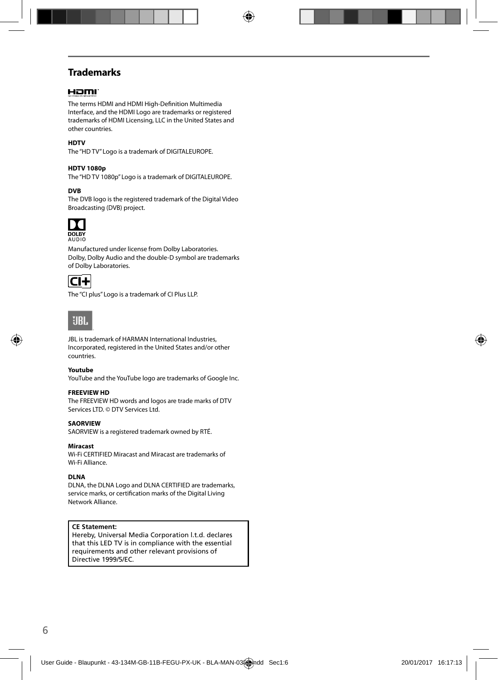### **Trademarks**

#### Hami

The terms HDMI and HDMI High-Definition Multimedia Interface, and the HDMI Logo are trademarks or registered trademarks of HDMI Licensing, LLC in the United States and other countries.

#### **HDTV**

The "HD TV" Logo is a trademark of DIGITALEUROPE.

#### **HDTV 1080p**

The "HD TV 1080p" Logo is a trademark of DIGITALEUROPE.

#### **DVB**

The DVB logo is the registered trademark of the Digital Video Broadcasting (DVB) project.



Manufactured under license from Dolby Laboratories. Dolby, Dolby Audio and the double-D symbol are trademarks of Dolby Laboratories.



The "CI plus" Logo is a trademark of CI Plus LLP.



JBL is trademark of HARMAN International Industries, Incorporated, registered in the United States and/or other countries.

#### **Youtube**

YouTube and the YouTube logo are trademarks of Google Inc.

#### **FREEVIEW HD**

The FREEVIEW HD words and logos are trade marks of DTV Services LTD. © DTV Services Ltd.

#### **SAORVIEW**

SAORVIEW is a registered trademark owned by RTÉ.

#### **Miracast**

Wi-Fi CERTIFIED Miracast and Miracast are trademarks of Wi-Fi Alliance.

#### **DLNA**

DLNA, the DLNA Logo and DLNA CERTIFIED are trademarks, service marks, or certification marks of the Digital Living Network Alliance.

#### **CE Statement:**

Hereby, Universal Media Corporation l.t.d. declares that this LED TV is in compliance with the essential requirements and other relevant provisions of Directive 1999/5/EC.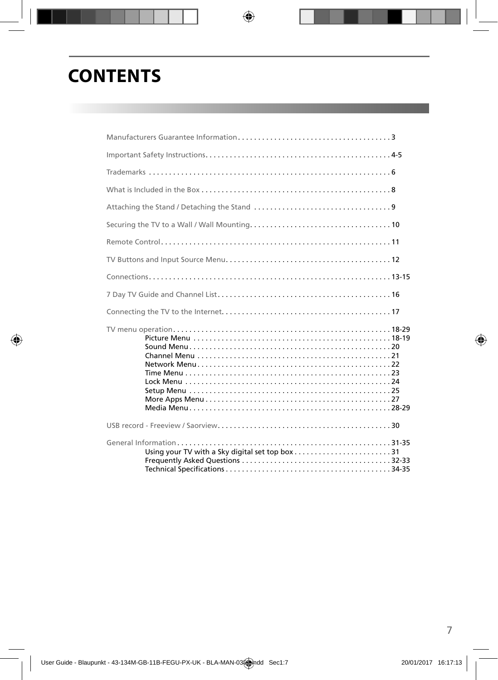## **CONTENTS**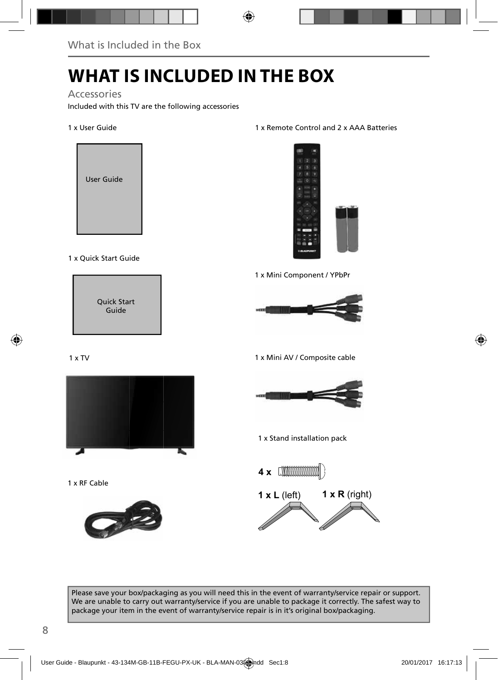# **WHAT IS INCLUDED IN THE BOX**

Accessories

Included with this TV are the following accessories

#### 1 x User Guide



#### 1 x Quick Start Guide



#### 1 x TV



1 x RF Cable



#### 1 x Remote Control and 2 x AAA Batteries



1 x Mini Component / YPbPr



1 x Mini AV / Composite cable



1 x Stand installation pack



Please save your box/packaging as you will need this in the event of warranty/service repair or support. We are unable to carry out warranty/service if you are unable to package it correctly. The safest way to package your item in the event of warranty/service repair is in it's original box/packaging.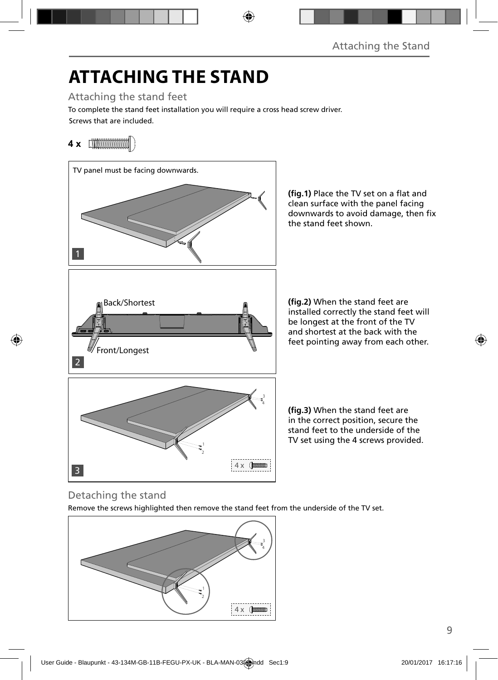# **ATTACHING THE STAND**

Attaching the stand feet

Screws that are included. To complete the stand feet installation you will require a cross head screw driver.

### **4 x**



(fig.1) Place the TV set on a flat and clean surface with the panel facing downwards to avoid damage, then fix the stand feet shown.

**(fig.2)** When the stand feet are installed correctly the stand feet will be longest at the front of the TV and shortest at the back with the feet pointing away from each other.

(fig.3) When the stand feet are in the correct position, secure the stand feet to the underside of the TV set using the 4 screws provided.

### Detaching the stand

Remove the screws highlighted then remove the stand feet from the underside of the TV set.

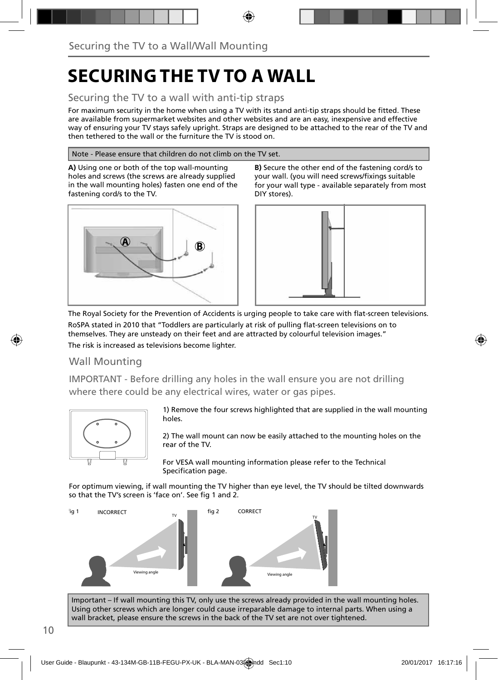## **SECURING THE TV TO A WALL**

### Securing the TV to a wall with anti-tip straps

For maximum security in the home when using a TV with its stand anti-tip straps should be fitted. These are available from supermarket websites and other websites and are an easy, inexpensive and effective way of ensuring your TV stays safely upright. Straps are designed to be attached to the rear of the TV and then tethered to the wall or the furniture the TV is stood on.

#### Note - Please ensure that children do not climb on the TV set.

**A)** Using one or both of the top wall-mounting holes and screws (the screws are already supplied in the wall mounting holes) fasten one end of the fastening cord/s to the TV.



**B)** Secure the other end of the fastening cord/s to your wall. (you will need screws/fixings suitable for your wall type - available separately from most DIY stores).



The Royal Society for the Prevention of Accidents is urging people to take care with flat-screen televisions. RoSPA stated in 2010 that "Toddlers are particularly at risk of pulling flat-screen televisions on to themselves. They are unsteady on their feet and are attracted by colourful television images." The risk is increased as televisions become lighter.

#### Wall Mounting

IMPORTANT - Before drilling any holes in the wall ensure you are not drilling where there could be any electrical wires, water or gas pipes.



1) Remove the four screws highlighted that are supplied in the wall mounting holes.

2) The wall mount can now be easily attached to the mounting holes on the rear of the TV.

For VESA wall mounting information please refer to the Technical Specification page.

For optimum viewing, if wall mounting the TV higher than eye level, the TV should be tilted downwards so that the TV's screen is 'face on'. See fig 1 and 2.



Important – If wall mounting this TV, only use the screws already provided in the wall mounting holes. Using other screws which are longer could cause irreparable damage to internal parts. When using a wall bracket, please ensure the screws in the back of the TV set are not over tightened.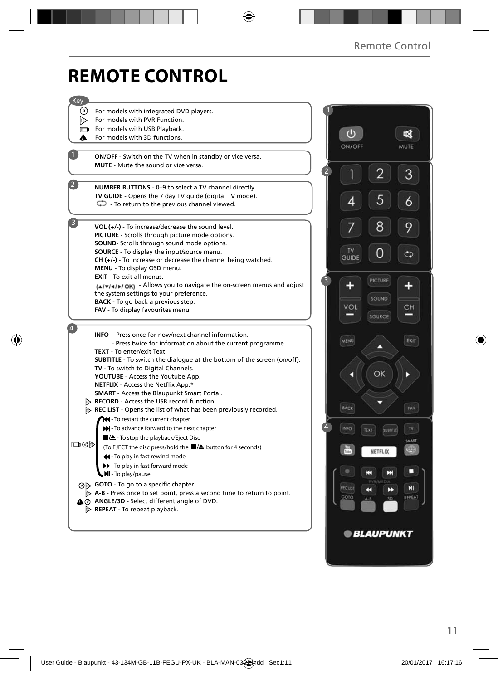## **REMOTE CONTROL**

| Key            |                                                                                                                                  |   |               |                         |        |
|----------------|----------------------------------------------------------------------------------------------------------------------------------|---|---------------|-------------------------|--------|
| ⊙)             | For models with integrated DVD players.                                                                                          |   |               |                         |        |
| Þ              | For models with PVR Function.                                                                                                    |   |               |                         |        |
|                | For models with USB Playback.                                                                                                    |   |               |                         |        |
| ▴              | For models with 3D functions.                                                                                                    |   | $\bigcirc$    |                         | 咽      |
|                |                                                                                                                                  |   | ON/OFF        |                         | MUTE   |
|                | ON/OFF - Switch on the TV when in standby or vice versa.                                                                         |   |               |                         |        |
|                | <b>MUTE</b> - Mute the sound or vice versa.                                                                                      |   |               |                         |        |
|                |                                                                                                                                  |   |               | 2                       | 3      |
|                | NUMBER BUTTONS - 0-9 to select a TV channel directly.                                                                            |   |               |                         |        |
|                | TV GUIDE - Opens the 7 day TV guide (digital TV mode).                                                                           |   |               |                         |        |
|                | $\mathbb{C}$ - To return to the previous channel viewed.                                                                         |   | 4             | 5                       | 6      |
|                |                                                                                                                                  |   |               |                         |        |
| $\overline{3}$ | $VOL (+/-)$ - To increase/decrease the sound level.                                                                              |   |               | 8                       | 9      |
|                | <b>PICTURE</b> - Scrolls through picture mode options.                                                                           |   |               |                         |        |
|                | SOUND- Scrolls through sound mode options.                                                                                       |   |               |                         |        |
|                | SOURCE - To display the input/source menu.                                                                                       |   | TV            |                         | ආ      |
|                | $CH (+/-)$ - To increase or decrease the channel being watched.                                                                  |   | <b>GUIDE</b>  |                         |        |
|                | MENU - To display OSD menu.                                                                                                      |   |               |                         |        |
|                | EXIT - To exit all menus.                                                                                                        | 3 |               | PICTURE                 |        |
|                | (A/V/4/)/OK) - Allows you to navigate the on-screen menus and adjust<br>the system settings to your preference.                  |   |               |                         |        |
|                | <b>BACK</b> - To go back a previous step.                                                                                        |   |               | SOUND                   |        |
|                | FAV - To display favourites menu.                                                                                                |   | VOL           |                         | CН     |
|                |                                                                                                                                  |   |               | SOURCE                  |        |
|                |                                                                                                                                  |   |               |                         |        |
|                | <b>INFO</b> - Press once for now/next channel information.                                                                       |   | MENU          |                         | EXIT   |
|                | - Press twice for information about the current programme.<br><b>TEXT</b> - To enter/exit Text.                                  |   |               | ⌒                       |        |
|                | <b>SUBTITLE</b> - To switch the dialogue at the bottom of the screen (on/off).                                                   |   |               |                         |        |
|                | TV - To switch to Digital Channels.                                                                                              |   |               |                         |        |
|                | YOUTUBE - Access the Youtube App.                                                                                                |   |               | OK                      |        |
|                | NETFLIX - Access the Netflix App.*                                                                                               |   |               |                         |        |
|                | <b>SMART</b> - Access the Blaupunkt Smart Portal.                                                                                |   |               |                         |        |
|                | <b>EXECORD</b> - Access the USB record function.                                                                                 |   | BACK          |                         | FAV    |
|                | $\triangleright$ REC LIST - Opens the list of what has been previously recorded.                                                 |   |               |                         |        |
|                | Hel-To restart the current chapter                                                                                               | 4 |               |                         |        |
|                | >> - To advance forward to the next chapter                                                                                      |   | INFO          | <b>SUBTITLE</b><br>TEXT | TV.    |
| య⊚⊡            | ■/▲- To stop the playback/Eject Disc                                                                                             |   |               |                         | SMART  |
|                | (To EJECT the disc press/hold the ■/▲ button for 4 seconds)                                                                      |   |               | NETFLIX                 | 明      |
|                | 44 - To play in fast rewind mode                                                                                                 |   |               |                         |        |
|                | To play in fast forward mode<br><b>MI</b> - To play/pause                                                                        |   |               | н<br>Е                  | o      |
|                |                                                                                                                                  |   |               |                         |        |
|                | ⊙ GOTO - To go to a specific chapter.<br>$\triangleright$ A-B - Press once to set point, press a second time to return to point. |   | <b>RECUST</b> | K<br>D                  | ЕI     |
|                | A @ ANGLE/3D - Select different angle of DVD.                                                                                    |   | GOTO          | 30<br>$A - B$           | REPEAT |
|                | $\triangleright$ REPEAT - To repeat playback.                                                                                    |   |               |                         |        |
|                |                                                                                                                                  |   |               |                         |        |
|                |                                                                                                                                  |   |               |                         |        |
|                |                                                                                                                                  |   |               | <b>BLAUPUNKT</b>        |        |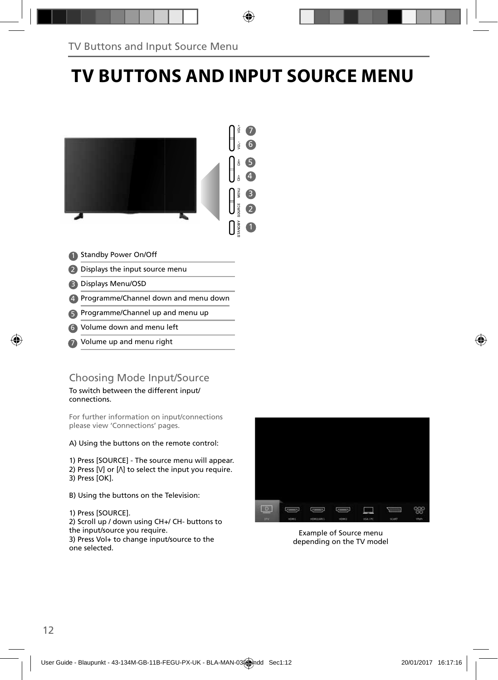## **TV BUTTONS AND INPUT SOURCE MENU**



- Standby Power On/Off 1
- 2 Displays the input source menu
- Displays Menu/OSD 3
- Programme/Channel down and menu down 4
- **5** Programme/Channel up and menu up
- Volume down and menu left 6
- Volume up and menu right 7

#### Choosing Mode Input/Source

To switch between the different input/ connections.

For further information on input/connections please view 'Connections' pages.

A) Using the buttons on the remote control:

1) Press [SOURCE] - The source menu will appear. 2) Press  $[V]$  or  $[\Lambda]$  to select the input you require. 3) Press [OK].

B) Using the buttons on the Television:

1) Press [SOURCE].

2) Scroll up / down using CH+/ CH- buttons to the input/source you require.

3) Press Vol+ to change input/source to the one selected.



Example of Source menu depending on the TV model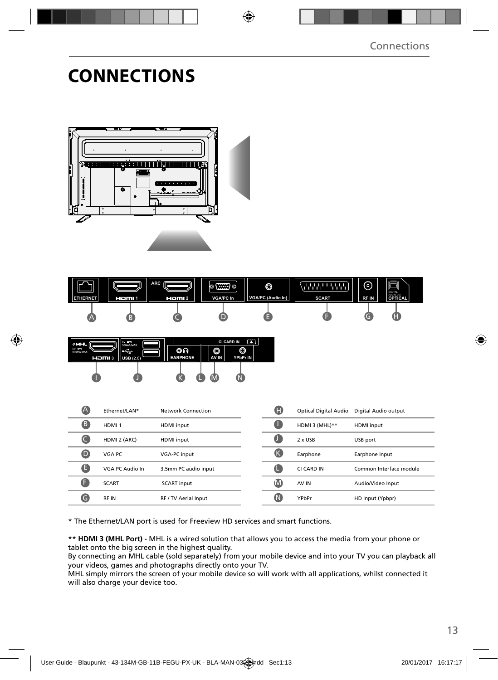### **CONNECTIONS**







| $\blacktriangle$ | Ethernet/LAN*     | Network Connection   | Œ  | Optical Digital Audio | Digital Audio output    |
|------------------|-------------------|----------------------|----|-----------------------|-------------------------|
| B                | HDMI <sub>1</sub> | HDMI input           | a  | HDMI 3 (MHL)**        | <b>HDMI</b> input       |
|                  | HDMI 2 (ARC)      | HDMI input           | O  | 2 x USB               | USB port                |
| O                | VGA PC            | VGA-PC input         | (K | Earphone              | Earphone Input          |
| ê                | VGA PC Audio In   | 3.5mm PC audio input | Œ  | CI CARD IN            | Common Interface module |
|                  | <b>SCART</b>      | <b>SCART</b> input   | M  | AV IN                 | Audio/Video Input       |
| G                | <b>RFIN</b>       | RF / TV Aerial Input | (N | YPbPr                 | HD input (Ypbpr)        |

\* The Ethernet/LAN port is used for Freeview HD services and smart functions.

\*\* **HDMI 3 (MHL Port) -** MHL is a wired solution that allows you to access the media from your phone or tablet onto the big screen in the highest quality.

By connecting an MHL cable (sold separately) from your mobile device and into your TV you can playback all your videos, games and photographs directly onto your TV.

MHL simply mirrors the screen of your mobile device so will work with all applications, whilst connected it will also charge your device too.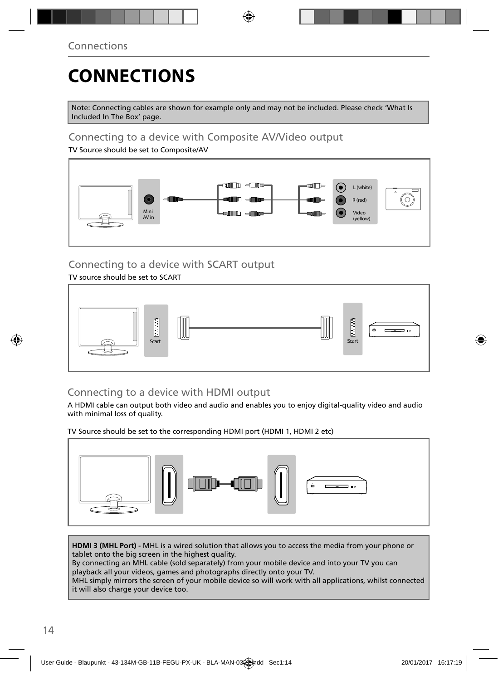# **CONNECTIONS**

Note: Connecting cables are shown for example only and may not be included. Please check 'What Is Included In The Box' page.

### Connecting to a device with Composite AV/Video output

TV Source should be set to Composite/AV



### Connecting to a device with SCART output

#### TV source should be set to SCART



### Connecting to a device with HDMI output

A HDMI cable can output both video and audio and enables you to enjoy digital-quality video and audio with minimal loss of quality.

TV Source should be set to the corresponding HDMI port (HDMI 1, HDMI 2 etc)



**HDMI 3 (MHL Port) -** MHL is a wired solution that allows you to access the media from your phone or tablet onto the big screen in the highest quality.

By connecting an MHL cable (sold separately) from your mobile device and into your TV you can playback all your videos, games and photographs directly onto your TV.

MHL simply mirrors the screen of your mobile device so will work with all applications, whilst connected it will also charge your device too.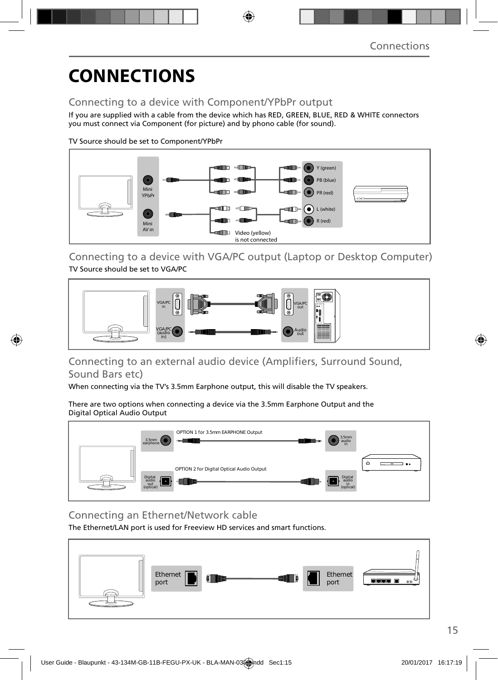## **CONNECTIONS**

### Connecting to a device with Component/YPbPr output

If you are supplied with a cable from the device which has RED, GREEN, BLUE, RED & WHITE connectors you must connect via Component (for picture) and by phono cable (for sound).

TV Source should be set to Component/YPbPr



Connecting to a device with VGA/PC output (Laptop or Desktop Computer) TV Source should be set to VGA/PC



### Connecting to an external audio device (Amplifiers, Surround Sound, Sound Bars etc)

When connecting via the TV's 3.5mm Earphone output, this will disable the TV speakers.

There are two options when connecting a device via the 3.5mm Earphone Output and the Digital Optical Audio Output



Connecting an Ethernet/Network cable

The Ethernet/LAN port is used for Freeview HD services and smart functions.

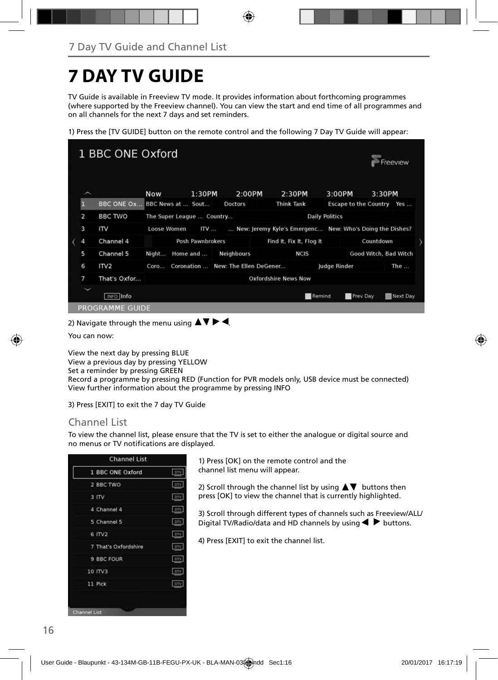## **7 DAY TV GUIDE**

TV Guide is available in Freeview TV mode. It provides information about forthcoming programmes (where supported by the Freeview channel). You can view the start and end time of all programmes and on all channels for the next 7 days and set reminders.

1) Press the [TV GUIDE] button on the remote control and the following 7 Day TV Guide will appear:



2) Navigate through the menu using  $\blacktriangle \blacktriangledown \blacktriangleright \blacktriangleleft$ 

You can now:

View the next day by pressing BLUE View a previous day by pressing YELLOW Set a reminder by pressing GREEN

Record a programme by pressing RED (Function for PVR models only, USB device must be connected) View further information about the programme by pressing INFO

3) Press [EXIT] to exit the 7 day TV Guide

#### Channel List

To view the channel list, please ensure that the TV is set to either the analogue or digital source and no menus or TV notifications are displayed.

| 1 BBC ONE Oxford     | otv        |
|----------------------|------------|
| 2 BBC TWO            | DTV        |
| 3 ITV                | ory        |
| 4 Channel 4          | DIV.       |
| 5 Channel 5          | prv        |
| $6$ ITV <sub>2</sub> | DTV        |
| 7 That's Oxfordshire | DTV        |
| 9 BBC FOUR           | DIV        |
| 10 ITV3              | <b>DTV</b> |
| 11 Pick              | DTV        |

1) Press [OK] on the remote control and the channel list menu will appear.

2) Scroll through the channel list by using  $\blacktriangle \blacktriangledown$  buttons then press [OK] to view the channel that is currently highlighted.

3) Scroll through different types of channels such as Freeview/ALL/ Digital TV/Radio/data and HD channels by using  $\blacklozenge$  buttons.

4) Press [EXIT] to exit the channel list.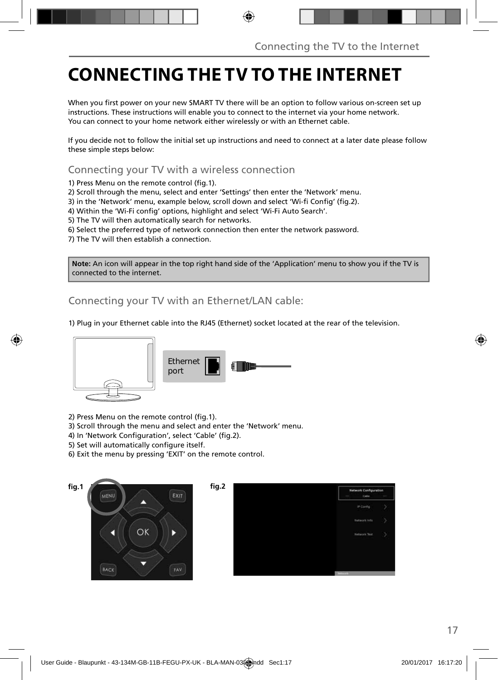## **CONNECTING THE TV TO THE INTERNET**

When you first power on your new SMART TV there will be an option to follow various on-screen set up instructions. These instructions will enable you to connect to the internet via your home network. You can connect to your home network either wirelessly or with an Ethernet cable.

If you decide not to follow the initial set up instructions and need to connect at a later date please follow these simple steps below:

Connecting your TV with a wireless connection

1) Press Menu on the remote control (fig.1).

2) Scroll through the menu, select and enter 'Settings' then enter the 'Network' menu.

3) in the 'Network' menu, example below, scroll down and select 'Wi-fi Config' (fig.2).

4) Within the 'Wi-Fi config' options, highlight and select 'Wi-Fi Auto Search'.

5) The TV will then automatically search for networks.

6) Select the preferred type of network connection then enter the network password.

7) The TV will then establish a connection.

**Note:** An icon will appear in the top right hand side of the 'Application' menu to show you if the TV is connected to the internet.

Connecting your TV with an Ethernet/LAN cable:

1) Plug in your Ethernet cable into the RJ45 (Ethernet) socket located at the rear of the television.



2) Press Menu on the remote control (fig.1).

3) Scroll through the menu and select and enter the 'Network' menu.

- 4) In 'Network Configuration', select 'Cable' (fig.2).
- 5) Set will automatically configure itself.
- 6) Exit the menu by pressing 'EXIT' on the remote control.



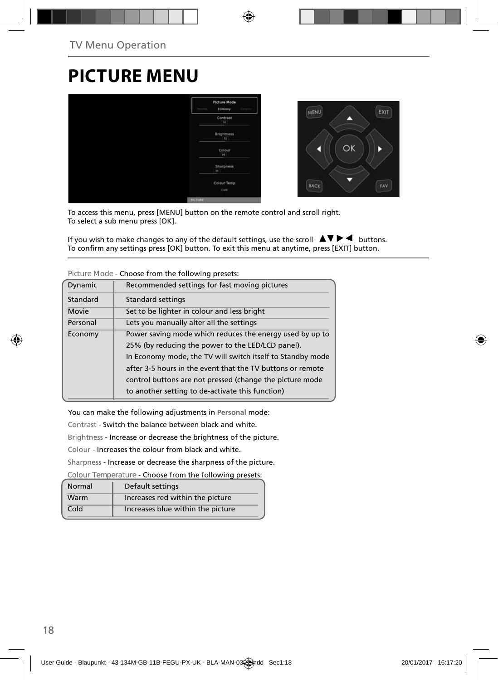## **PICTURE MENU**



To access this menu, press [MENU] button on the remote control and scroll right. To select a sub menu press [OK].

If you wish to make changes to any of the default settings, use the scroll  $\Box \Box \blacktriangleright \blacktriangleleft$  buttons. To confirm any settings press [OK] button. To exit this menu at anytime, press [EXIT] button.

|          | <u>encesse nom and romommer preseasi</u>                   |
|----------|------------------------------------------------------------|
| Dynamic  | Recommended settings for fast moving pictures              |
| Standard | Standard settings                                          |
| Movie    | Set to be lighter in colour and less bright                |
| Personal | Lets you manually alter all the settings                   |
| Economy  | Power saving mode which reduces the energy used by up to   |
|          | 25% (by reducing the power to the LED/LCD panel).          |
|          | In Economy mode, the TV will switch itself to Standby mode |
|          | after 3-5 hours in the event that the TV buttons or remote |
|          | control buttons are not pressed (change the picture mode   |
|          | to another setting to de-activate this function)           |
|          |                                                            |

**Picture Mode** - Choose from the following presets:

You can make the following adjustments in **Personal** mode:

Contrast - Switch the balance between black and white.

Brightness - Increase or decrease the brightness of the picture.

Colour - Increases the colour from black and white.

Sharpness - Increase or decrease the sharpness of the picture.

**Colour Temperature** - Choose from the following presets:

| Normal | Default settings                  |
|--------|-----------------------------------|
| Warm   | Increases red within the picture  |
| Cold   | Increases blue within the picture |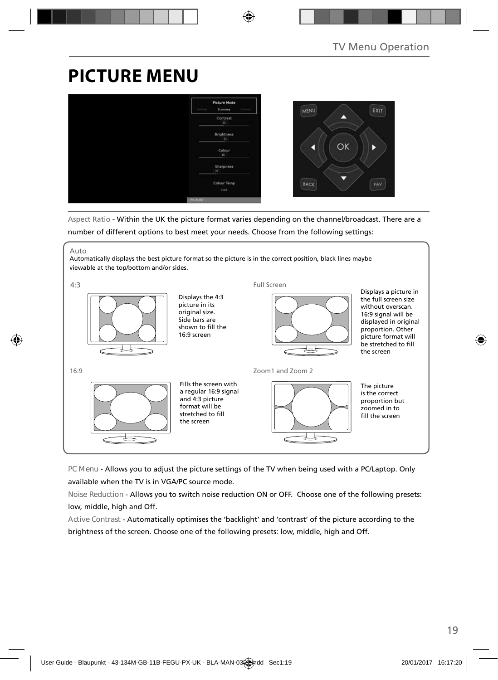## **PICTURE MENU**



Aspect Ratio - Within the UK the picture format varies depending on the channel/broadcast. There are a number of different options to best meet your needs. Choose from the following settings:

#### Auto

Automatically displays the best picture format so the picture is in the correct position, black lines maybe viewable at the top/bottom and/or sides.



**PC Menu** - Allows you to adjust the picture settings of the TV when being used with a PC/Laptop. Only available when the TV is in VGA/PC source mode.

**Noise Reduction** - Allows you to switch noise reduction ON or OFF. Choose one of the following presets: low, middle, high and Off.

**Active Contrast** - Automatically optimises the 'backlight' and 'contrast' of the picture according to the brightness of the screen. Choose one of the following presets: low, middle, high and Off.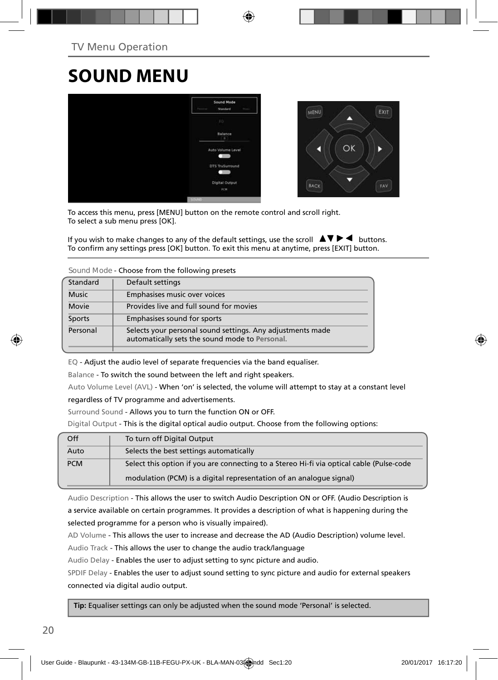## **SOUND MENU**



To access this menu, press [MENU] button on the remote control and scroll right. To select a sub menu press [OK].

If you wish to make changes to any of the default settings, use the scroll  $\blacktriangle \blacktriangledown \blacktriangleright \blacktriangleleft$  buttons. To confirm any settings press [OK] button. To exit this menu at anytime, press [EXIT] button.

**Sound Mode** - Choose from the following presets

| Standard     | Default settings                                                                                             |
|--------------|--------------------------------------------------------------------------------------------------------------|
| <b>Music</b> | Emphasises music over voices                                                                                 |
| Movie        | Provides live and full sound for movies                                                                      |
| Sports       | Emphasises sound for sports                                                                                  |
| Personal     | Selects your personal sound settings. Any adjustments made<br>automatically sets the sound mode to Personal. |
|              |                                                                                                              |

EQ - Adjust the audio level of separate frequencies via the band equaliser.

Balance - To switch the sound between the left and right speakers.

Auto Volume Level (AVL) - When 'on' is selected, the volume will attempt to stay at a constant level

regardless of TV programme and advertisements.

Surround Sound - Allows you to turn the function ON or OFF.

Digital Output - This is the digital optical audio output. Choose from the following options:

| Off        | To turn off Digital Output                                                                                                                                      |
|------------|-----------------------------------------------------------------------------------------------------------------------------------------------------------------|
| Auto       | Selects the best settings automatically                                                                                                                         |
| <b>PCM</b> | Select this option if you are connecting to a Stereo Hi-fi via optical cable (Pulse-code<br>modulation (PCM) is a digital representation of an analogue signal) |
|            |                                                                                                                                                                 |

Audio Description - This allows the user to switch Audio Description ON or OFF. (Audio Description is a service available on certain programmes. It provides a description of what is happening during the selected programme for a person who is visually impaired).

AD Volume - This allows the user to increase and decrease the AD (Audio Description) volume level.

Audio Track - This allows the user to change the audio track/language

Audio Delay - Enables the user to adjust setting to sync picture and audio.

SPDIF Delay - Enables the user to adjust sound setting to sync picture and audio for external speakers connected via digital audio output.

 **Tip:** Equaliser settings can only be adjusted when the sound mode 'Personal' is selected.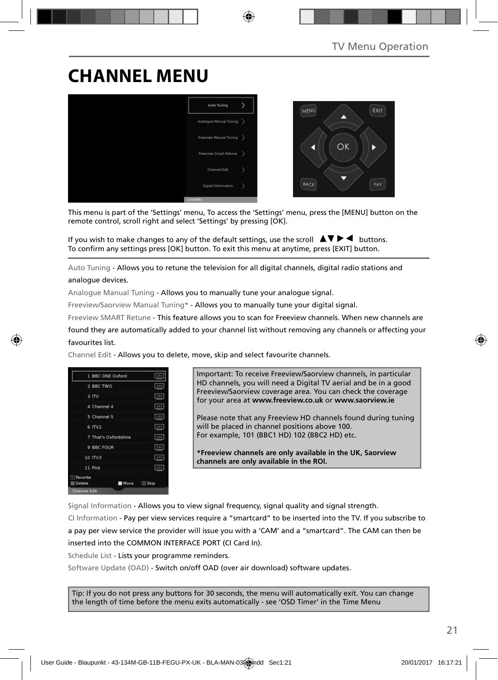## **CHANNEL MENU**



This menu is part of the 'Settings' menu, To access the 'Settings' menu, press the [MENU] button on the remote control, scroll right and select 'Settings' by pressing [OK].

If you wish to make changes to any of the default settings, use the scroll  $\Delta \nabla \blacktriangleright$   $\blacktriangleleft$  buttons. To confirm any settings press [OK] button. To exit this menu at anytime, press [EXIT] button.

Auto Tuning - Allows you to retune the television for all digital channels, digital radio stations and analogue devices.

Analogue Manual Tuning - Allows you to manually tune your analogue signal.

Freeview/Saorview Manual Tuning\* - Allows you to manually tune your digital signal.

Freeview SMART Retune - This feature allows you to scan for Freeview channels. When new channels are

found they are automatically added to your channel list without removing any channels or affecting your favourites list.

Channel Edit - Allows you to delete, move, skip and select favourite channels.



Important: To receive Freeview/Saorview channels, in particular HD channels, you will need a Digital TV aerial and be in a good Freeview/Saorview coverage area. You can check the coverage for your area at **www.freeview.co.uk** or **www.saorview.ie**

Please note that any Freeview HD channels found during tuning will be placed in channel positions above 100. For example, 101 (BBC1 HD) 102 (BBC2 HD) etc.

**\*Freeview channels are only available in the UK, Saorview channels are only available in the ROI.**

Signal Information - Allows you to view signal frequency, signal quality and signal strength.

CI Information - Pay per view services require a "smartcard" to be inserted into the TV. If you subscribe to a pay per view service the provider will issue you with a 'CAM' and a "smartcard". The CAM can then be inserted into the COMMON INTERFACE PORT (CI Card In).

Schedule List - Lists your programme reminders.

Software Update (OAD) - Switch on/off OAD (over air download) software updates.

Tip: If you do not press any buttons for 30 seconds, the menu will automatically exit. You can change the length of time before the menu exits automatically - see 'OSD Timer' in the Time Menu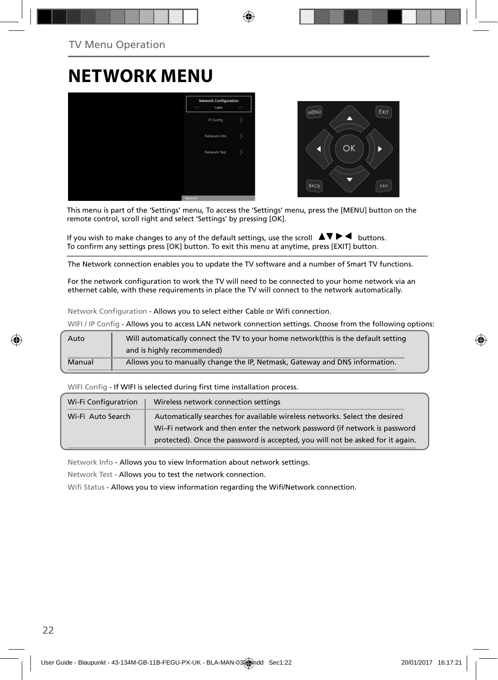### **NETWORK MENU**



This menu is part of the 'Settings' menu, To access the 'Settings' menu, press the [MENU] button on the remote control, scroll right and select 'Settings' by pressing [OK].

If you wish to make changes to any of the default settings, use the scroll  $\blacktriangle \blacktriangledown \blacktriangleright \blacktriangleleft$  buttons. To confirm any settings press [OK] button. To exit this menu at anytime, press [EXIT] button.

The Network connection enables you to update the TV software and a number of Smart TV functions.

For the network configuration to work the TV will need to be connected to your home network via an ethernet cable, with these requirements in place the TV will connect to the network automatically.

Network Configuration - Allows you to select either Cable or Wifi connection.

WIFI / IP Config - Allows you to access LAN network connection settings. Choose from the following options:

| Auto   | Will automatically connect the TV to your home network(this is the default setting |
|--------|------------------------------------------------------------------------------------|
|        | and is highly recommended)                                                         |
| Manual | Allows you to manually change the IP, Netmask, Gateway and DNS information.        |

WIFI Config - If WIFI is selected during first time installation process.

| Wi-Fi Configuratrion | Wireless network connection settings                                           |
|----------------------|--------------------------------------------------------------------------------|
| Wi-Fi Auto Search    | Automatically searches for available wireless networks. Select the desired     |
|                      | Wi-Fi network and then enter the network password (if network is password      |
|                      | protected). Once the password is accepted, you will not be asked for it again. |

Network Info - Allows you to view Information about network settings.

Network Test - Allows you to test the network connection.

Wifi Status - Allows you to view information regarding the Wifi/Network connection.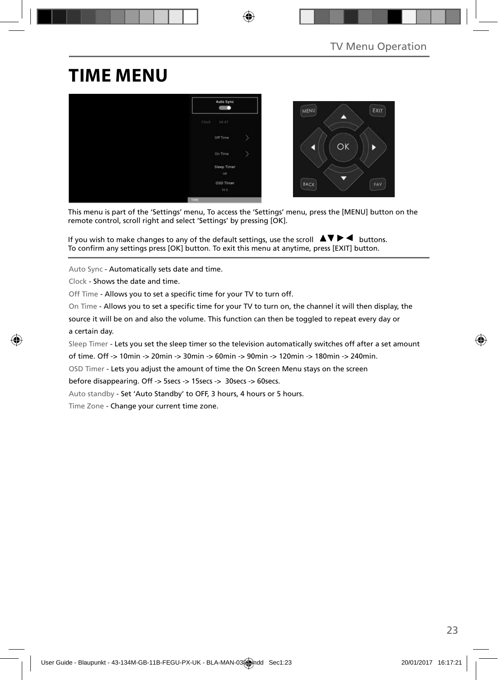## **TIME MENU**



This menu is part of the 'Settings' menu, To access the 'Settings' menu, press the [MENU] button on the remote control, scroll right and select 'Settings' by pressing [OK].

If you wish to make changes to any of the default settings, use the scroll  $\Delta \nabla \blacktriangleright$   $\blacktriangleleft$  buttons. To confirm any settings press [OK] button. To exit this menu at anytime, press [EXIT] button.

Auto Sync - Automatically sets date and time.

Clock - Shows the date and time.

Off Time - Allows you to set a specific time for your TV to turn off.

On Time - Allows you to set a specific time for your TV to turn on, the channel it will then display, the

source it will be on and also the volume. This function can then be toggled to repeat every day or a certain day.

Sleep Timer - Lets you set the sleep timer so the television automatically switches off after a set amount

of time. Off -> 10min -> 20min -> 30min -> 60min -> 90min -> 120min -> 180min -> 240min.

OSD Timer - Lets you adjust the amount of time the On Screen Menu stays on the screen

before disappearing. Off -> 5secs -> 15secs -> 30secs -> 60secs.

Auto standby - Set 'Auto Standby' to OFF, 3 hours, 4 hours or 5 hours.

Time Zone - Change your current time zone.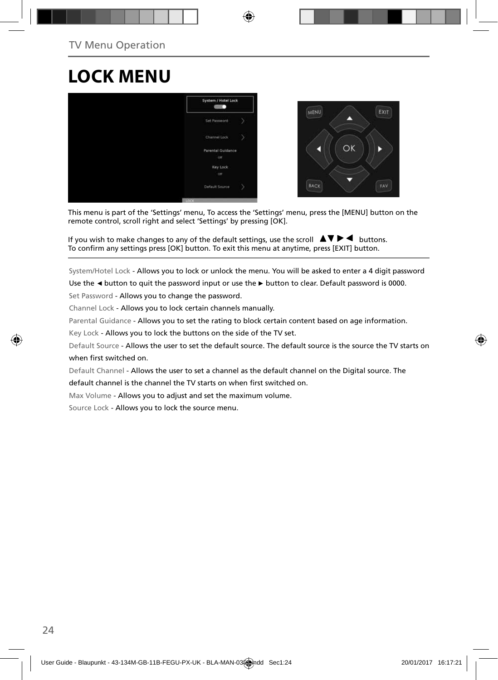## **LOCK MENU**



This menu is part of the 'Settings' menu, To access the 'Settings' menu, press the [MENU] button on the remote control, scroll right and select 'Settings' by pressing [OK].

If you wish to make changes to any of the default settings, use the scroll  $\blacktriangle \blacktriangledown \blacktriangleright \blacktriangleleft$  buttons. To confirm any settings press [OK] button. To exit this menu at anytime, press [EXIT] button.

System/Hotel Lock - Allows you to lock or unlock the menu. You will be asked to enter a 4 digit password

Use the **◄** button to quit the password input or use the **►** button to clear. Default password is 0000.

Set Password - Allows you to change the password.

Channel Lock - Allows you to lock certain channels manually.

Parental Guidance - Allows you to set the rating to block certain content based on age information.

Key Lock - Allows you to lock the buttons on the side of the TV set.

Default Source - Allows the user to set the default source. The default source is the source the TV starts on when first switched on.

Default Channel - Allows the user to set a channel as the default channel on the Digital source. The

default channel is the channel the TV starts on when first switched on.

Max Volume - Allows you to adjust and set the maximum volume.

Source Lock - Allows you to lock the source menu.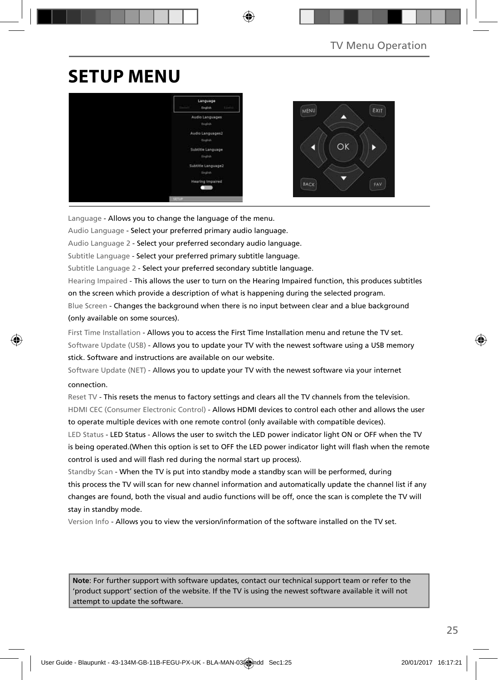## **SETUP MENU**



Language - Allows you to change the language of the menu.

Audio Language - Select your preferred primary audio language.

Audio Language 2 - Select your preferred secondary audio language.

Subtitle Language - Select your preferred primary subtitle language.

Subtitle Language 2 - Select your preferred secondary subtitle language.

Hearing Impaired - This allows the user to turn on the Hearing Impaired function, this produces subtitles on the screen which provide a description of what is happening during the selected program. Blue Screen - Changes the background when there is no input between clear and a blue background

(only available on some sources).

First Time Installation - Allows you to access the First Time Installation menu and retune the TV set. Software Update (USB) - Allows you to update your TV with the newest software using a USB memory stick. Software and instructions are available on our website.

Software Update (NET) - Allows you to update your TV with the newest software via your internet connection.

Reset TV - This resets the menus to factory settings and clears all the TV channels from the television. HDMI CEC (Consumer Electronic Control) - Allows HDMI devices to control each other and allows the user to operate multiple devices with one remote control (only available with compatible devices).

LED Status - LED Status - Allows the user to switch the LED power indicator light ON or OFF when the TV is being operated.(When this option is set to OFF the LED power indicator light will flash when the remote control is used and will flash red during the normal start up process).

Standby Scan - When the TV is put into standby mode a standby scan will be performed, during this process the TV will scan for new channel information and automatically update the channel list if any changes are found, both the visual and audio functions will be off, once the scan is complete the TV will stay in standby mode.

Version Info - Allows you to view the version/information of the software installed on the TV set.

**Note**: For further support with software updates, contact our technical support team or refer to the 'product support' section of the website. If the TV is using the newest software available it will not attempt to update the software.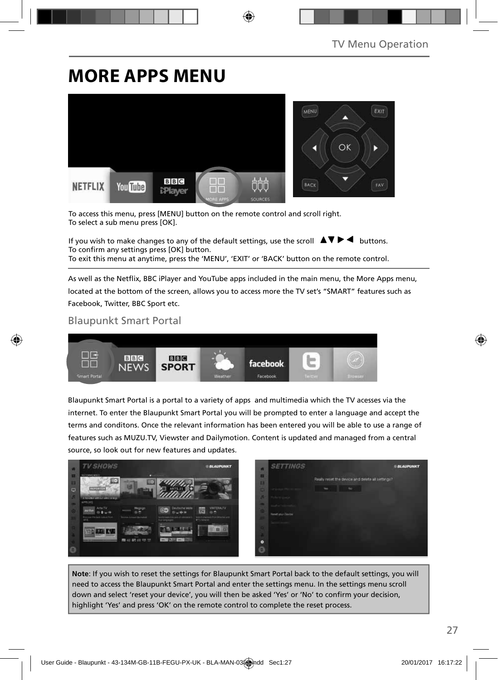### **MORE APPS MENU**



To access this menu, press [MENU] button on the remote control and scroll right. To select a sub menu press [OK].

If you wish to make changes to any of the default settings, use the scroll  $\Delta \nabla \blacktriangleright$  buttons. To confirm any settings press [OK] button. To exit this menu at anytime, press the 'MENU', 'EXIT' or 'BACK' button on the remote control.

As well as the Netflix, BBC iPlayer and YouTube apps included in the main menu, the More Apps menu, located at the bottom of the screen, allows you to access more the TV set's "SMART" features such as Facebook, Twitter, BBC Sport etc.

#### Blaupunkt Smart Portal



Blaupunkt Smart Portal is a portal to a variety of apps and multimedia which the TV acesses via the internet. To enter the Blaupunkt Smart Portal you will be prompted to enter a language and accept the terms and conditons. Once the relevant information has been entered you will be able to use a range of features such as MUZU.TV, Viewster and Dailymotion. Content is updated and managed from a central source, so look out for new features and updates.



**Note**: If you wish to reset the settings for Blaupunkt Smart Portal back to the default settings, you will need to access the Blaupunkt Smart Portal and enter the settings menu. In the settings menu scroll down and select 'reset your device', you will then be asked 'Yes' or 'No' to confirm your decision, highlight 'Yes' and press 'OK' on the remote control to complete the reset process.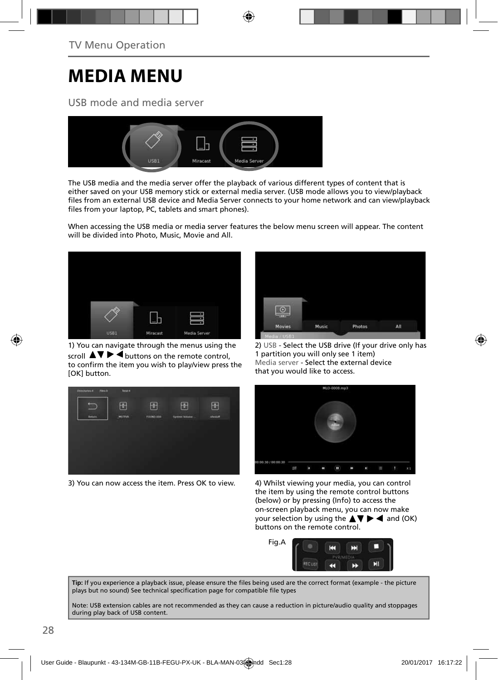## **MEDIA MENU**

### USB mode and media server



The USB media and the media server offer the playback of various different types of content that is either saved on your USB memory stick or external media server. (USB mode allows you to view/playback files from an external USB device and Media Server connects to your home network and can view/playback files from your laptop, PC, tablets and smart phones).

When accessing the USB media or media server features the below menu screen will appear. The content will be divided into Photo, Music, Movie and All.



1) You can navigate through the menus using the scroll  $\Delta \nabla \triangleright \blacktriangleleft$  buttons on the remote control, to confirm the item you wish to play/view press the [OK] button.



3) You can now access the item. Press OK to view. 4) Whilst viewing your media, you can control



2) USB - Select the USB drive (If your drive only has 1 partition you will only see 1 item) Media server - Select the external device that you would like to access.



the item by using the remote control buttons (below) or by pressing (Info) to access the on-screen playback menu, you can now make your selection by using the  $\blacktriangle \blacktriangledown \blacktriangleright \blacktriangleleft$  and (OK) buttons on the remote control.



Tip: If you experience a playback issue, please ensure the files being used are the correct format (example - the picture plays but no sound) See technical specification page for compatible file types

Note: USB extension cables are not recommended as they can cause a reduction in picture/audio quality and stoppages during play back of USB content.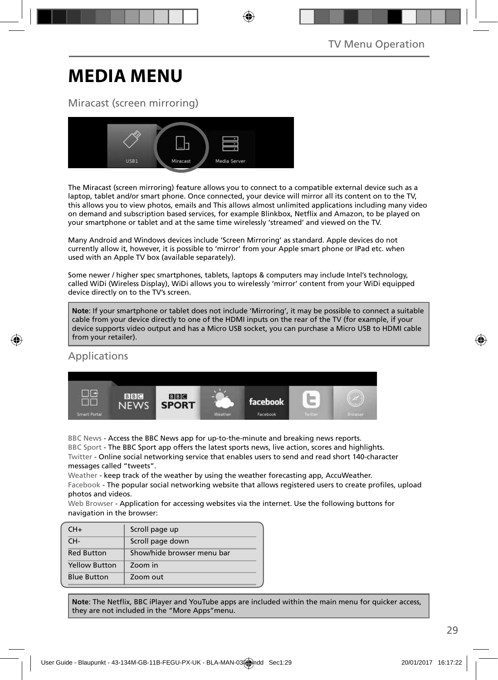## **MEDIA MENU**

### Miracast (screen mirroring)



The Miracast (screen mirroring) feature allows you to connect to a compatible external device such as a laptop, tablet and/or smart phone. Once connected, your device will mirror all its content on to the TV, this allows you to view photos, emails and This allows almost unlimited applications including many video on demand and subscription based services, for example Blinkbox, Netflix and Amazon, to be played on your smartphone or tablet and at the same time wirelessly 'streamed' and viewed on the TV.

Many Android and Windows devices include 'Screen Mirroring' as standard. Apple devices do not currently allow it, however, it is possible to 'mirror' from your Apple smart phone or IPad etc. when used with an Apple TV box (available separately).

Some newer / higher spec smartphones, tablets, laptops & computers may include Intel's technology, called WiDi (Wireless Display), WiDi allows you to wirelessly 'mirror' content from your WiDi equipped device directly on to the TV's screen.

**Note**: If your smartphone or tablet does not include 'Mirroring', it may be possible to connect a suitable cable from your device directly to one of the HDMI inputs on the rear of the TV (for example, if your device supports video output and has a Micro USB socket, you can purchase a Micro USB to HDMI cable from your retailer).

### Applications



BBC News - Access the BBC News app for up-to-the-minute and breaking news reports.

BBC Sport - The BBC Sport app offers the latest sports news, live action, scores and highlights. Twitter - Online social networking service that enables users to send and read short 140-character messages called "tweets".

Weather - keep track of the weather by using the weather forecasting app, AccuWeather.

Facebook - The popular social networking website that allows registered users to create profiles, upload photos and videos.

Web Browser - Application for accessing websites via the internet. Use the following buttons for navigation in the browser:

| $CH+$                | Scroll page up             |
|----------------------|----------------------------|
| CH-                  | Scroll page down           |
| <b>Red Button</b>    | Show/hide browser menu bar |
| <b>Yellow Button</b> | Zoom in                    |
| <b>Blue Button</b>   | Zoom out                   |

Note: The Netflix, BBC iPlayer and YouTube apps are included within the main menu for quicker access, they are not included in the "More Apps"menu.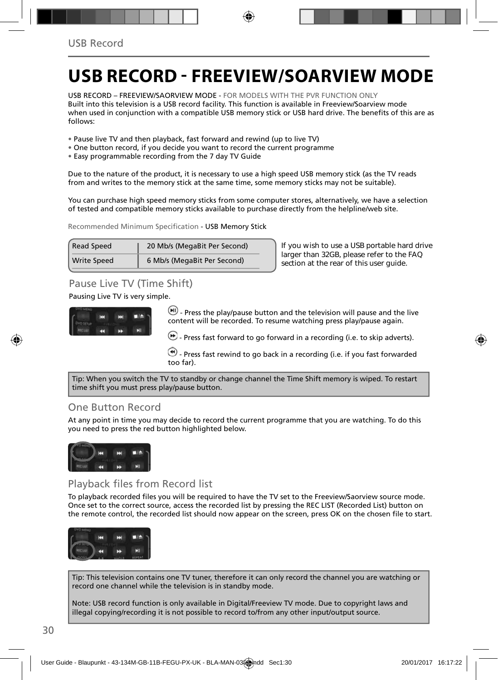## **USB RECORD - FREEVIEW/SOARVIEW MODE**

USB RECORD – FREEVIEW/SAORVIEW MODE - FOR MODELS WITH THE PVR FUNCTION ONLY Built into this television is a USB record facility. This function is available in Freeview/Soarview mode when used in conjunction with a compatible USB memory stick or USB hard drive. The benefits of this are as follows:

- Pause live TV and then playback, fast forward and rewind (up to live TV)
- One button record, if you decide you want to record the current programme
- Easy programmable recording from the 7 day TV Guide

Due to the nature of the product, it is necessary to use a high speed USB memory stick (as the TV reads from and writes to the memory stick at the same time, some memory sticks may not be suitable).

You can purchase high speed memory sticks from some computer stores, alternatively, we have a selection of tested and compatible memory sticks available to purchase directly from the helpline/web site.

Recommended Minimum Specification - USB Memory Stick

| <b>Read Speed</b>  | 20 Mb/s (MegaBit Per Second) |
|--------------------|------------------------------|
| <b>Write Speed</b> | 6 Mb/s (MegaBit Per Second)  |

**If you wish to use a USB portable hard drive larger than 32GB, please refer to the FAQ section at the rear of this user guide.**

### Pause Live TV (Time Shift)

Pausing Live TV is very simple.



 $-$  Press the play/pause button and the television will pause and the live content will be recorded. To resume watching press play/pause again.

 $\bigcirc$  - Press fast forward to go forward in a recording (i.e. to skip adverts).

 $\blacktriangleright$  - Press fast rewind to go back in a recording (i.e. if you fast forwarded too far).

Tip: When you switch the TV to standby or change channel the Time Shift memory is wiped. To restart time shift you must press play/pause button.

#### One Button Record

At any point in time you may decide to record the current programme that you are watching. To do this you need to press the red button highlighted below.



#### Playback files from Record list

To playback recorded files you will be required to have the TV set to the Freeview/Saorview source mode. Once set to the correct source, access the recorded list by pressing the REC LIST (Recorded List) button on the remote control, the recorded list should now appear on the screen, press OK on the chosen file to start.



Tip: This television contains one TV tuner, therefore it can only record the channel you are watching or record one channel while the television is in standby mode.

Note: USB record function is only available in Digital/Freeview TV mode. Due to copyright laws and illegal copying/recording it is not possible to record to/from any other input/output source.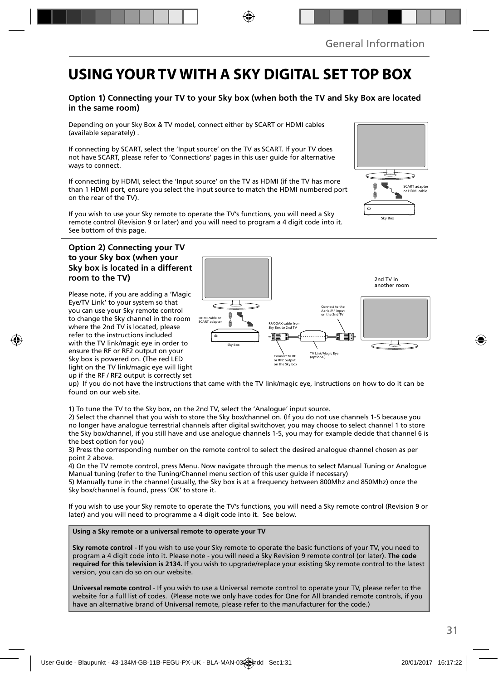### **USING YOUR TV WITH A SKY DIGITAL SET TOP BOX**

#### **Option 1) Connecting your TV to your Sky box (when both the TV and Sky Box are located in the same room)**

Depending on your Sky Box & TV model, connect either by SCART or HDMI cables (available separately) .

If connecting by SCART, select the 'Input source' on the TV as SCART. If your TV does not have SCART, please refer to 'Connections' pages in this user guide for alternative ways to connect.

If connecting by HDMI, select the 'Input source' on the TV as HDMI (if the TV has more than 1 HDMI port, ensure you select the input source to match the HDMI numbered port on the rear of the TV).

If you wish to use your Sky remote to operate the TV's functions, you will need a Sky remote control (Revision 9 or later) and you will need to program a 4 digit code into it. See bottom of this page.

#### **Option 2) Connecting your TV to your Sky box (when your Sky box is located in a different room to the TV)**

Please note, if you are adding a 'Magic Eye/TV Link' to your system so that you can use your Sky remote control to change the Sky channel in the room where the 2nd TV is located, please refer to the instructions included with the TV link/magic eye in order to ensure the RF or RF2 output on your Sky box is powered on. (The red LED light on the TV link/magic eye will light up if the RF / RF2 output is correctly set



up) If you do not have the instructions that came with the TV link/magic eye, instructions on how to do it can be found on our web site.

1) To tune the TV to the Sky box, on the 2nd TV, select the 'Analogue' input source.

2) Select the channel that you wish to store the Sky box/channel on. (If you do not use channels 1-5 because you no longer have analogue terrestrial channels after digital switchover, you may choose to select channel 1 to store the Sky box/channel, if you still have and use analogue channels 1-5, you may for example decide that channel 6 is the best option for you)

3) Press the corresponding number on the remote control to select the desired analogue channel chosen as per point 2 above.

4) On the TV remote control, press Menu. Now navigate through the menus to select Manual Tuning or Analogue Manual tuning (refer to the Tuning/Channel menu section of this user guide if necessary)

5) Manually tune in the channel (usually, the Sky box is at a frequency between 800Mhz and 850Mhz) once the Sky box/channel is found, press 'OK' to store it.

If you wish to use your Sky remote to operate the TV's functions, you will need a Sky remote control (Revision 9 or later) and you will need to programme a 4 digit code into it. See below.

**Using a Sky remote or a universal remote to operate your TV** 

**Sky remote control** - If you wish to use your Sky remote to operate the basic functions of your TV, you need to program a 4 digit code into it. Please note - you will need a Sky Revision 9 remote control (or later). **The code required for this television is 2134.** If you wish to upgrade/replace your existing Sky remote control to the latest version, you can do so on our website.

**Universal remote control** - If you wish to use a Universal remote control to operate your TV, please refer to the website for a full list of codes. (Please note we only have codes for One for All branded remote controls, if you have an alternative brand of Universal remote, please refer to the manufacturer for the code.)

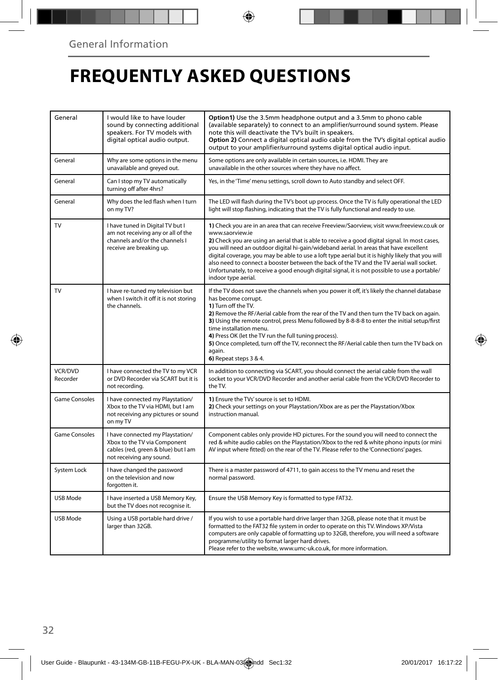## **FREQUENTLY ASKED QUESTIONS**

| General              | I would like to have louder<br>sound by connecting additional<br>speakers. For TV models with<br>digital optical audio output.       | Option1) Use the 3.5mm headphone output and a 3.5mm to phono cable<br>(available separately) to connect to an amplifier/surround sound system. Please<br>note this will deactivate the TV's built in speakers.<br>Option 2) Connect a digital optical audio cable from the TV's digital optical audio<br>output to your amplifier/surround systems digital optical audio input.                                                                                                                                                                                                                                                     |  |  |
|----------------------|--------------------------------------------------------------------------------------------------------------------------------------|-------------------------------------------------------------------------------------------------------------------------------------------------------------------------------------------------------------------------------------------------------------------------------------------------------------------------------------------------------------------------------------------------------------------------------------------------------------------------------------------------------------------------------------------------------------------------------------------------------------------------------------|--|--|
| General              | Why are some options in the menu<br>unavailable and greyed out.                                                                      | Some options are only available in certain sources, i.e. HDMI. They are<br>unavailable in the other sources where they have no affect.                                                                                                                                                                                                                                                                                                                                                                                                                                                                                              |  |  |
| General              | Can I stop my TV automatically<br>turning off after 4hrs?                                                                            | Yes, in the 'Time' menu settings, scroll down to Auto standby and select OFF.                                                                                                                                                                                                                                                                                                                                                                                                                                                                                                                                                       |  |  |
| General              | Why does the led flash when I turn<br>on my TV?                                                                                      | The LED will flash during the TV's boot up process. Once the TV is fully operational the LED<br>light will stop flashing, indicating that the TV is fully functional and ready to use.                                                                                                                                                                                                                                                                                                                                                                                                                                              |  |  |
| TV                   | I have tuned in Digital TV but I<br>am not receiving any or all of the<br>channels and/or the channels I<br>receive are breaking up. | 1) Check you are in an area that can receive Freeview/Saorview, visit www.freeview.co.uk or<br>www.saorview.ie<br>2) Check you are using an aerial that is able to receive a good digital signal. In most cases,<br>you will need an outdoor digital hi-gain/wideband aerial. In areas that have excellent<br>digital coverage, you may be able to use a loft type aerial but it is highly likely that you will<br>also need to connect a booster between the back of the TV and the TV aerial wall socket.<br>Unfortunately, to receive a good enough digital signal, it is not possible to use a portable/<br>indoor type aerial. |  |  |
| TV                   | I have re-tuned my television but<br>when I switch it off it is not storing<br>the channels.                                         | If the TV does not save the channels when you power it off, it's likely the channel database<br>has become corrupt.<br>1) Turn off the TV.<br>2) Remove the RF/Aerial cable from the rear of the TV and then turn the TV back on again.<br>3) Using the remote control, press Menu followed by 8-8-8-8 to enter the initial setup/first<br>time installation menu.<br>4) Press OK (let the TV run the full tuning process).<br>5) Once completed, turn off the TV, reconnect the RF/Aerial cable then turn the TV back on<br>again.<br>6) Repeat steps 3 & 4.                                                                       |  |  |
| VCR/DVD<br>Recorder  | I have connected the TV to my VCR<br>or DVD Recorder via SCART but it is<br>not recording.                                           | In addition to connecting via SCART, you should connect the aerial cable from the wall<br>socket to your VCR/DVD Recorder and another aerial cable from the VCR/DVD Recorder to<br>the TV.                                                                                                                                                                                                                                                                                                                                                                                                                                          |  |  |
| Game Consoles        | I have connected my Playstation/<br>Xbox to the TV via HDMI, but I am<br>not receiving any pictures or sound<br>on my TV             | 1) Ensure the TVs' source is set to HDMI.<br>2) Check your settings on your Playstation/Xbox are as per the Playstation/Xbox<br>instruction manual.                                                                                                                                                                                                                                                                                                                                                                                                                                                                                 |  |  |
| <b>Game Consoles</b> | I have connected my Playstation/<br>Xbox to the TV via Component<br>cables (red, green & blue) but I am<br>not receiving any sound.  | Component cables only provide HD pictures. For the sound you will need to connect the<br>red & white audio cables on the Playstation/Xbox to the red & white phono inputs (or mini<br>AV input where fitted) on the rear of the TV. Please refer to the 'Connections' pages.                                                                                                                                                                                                                                                                                                                                                        |  |  |
| System Lock          | I have changed the password<br>on the television and now<br>forgotten it.                                                            | There is a master password of 4711, to gain access to the TV menu and reset the<br>normal password.                                                                                                                                                                                                                                                                                                                                                                                                                                                                                                                                 |  |  |
| <b>USB Mode</b>      | I have inserted a USB Memory Key,<br>but the TV does not recognise it.                                                               | Ensure the USB Memory Key is formatted to type FAT32.                                                                                                                                                                                                                                                                                                                                                                                                                                                                                                                                                                               |  |  |
| <b>USB Mode</b>      | Using a USB portable hard drive /<br>larger than 32GB.                                                                               | If you wish to use a portable hard drive larger than 32GB, please note that it must be<br>formatted to the FAT32 file system in order to operate on this TV. Windows XP/Vista<br>computers are only capable of formatting up to 32GB, therefore, you will need a software<br>programme/utility to format larger hard drives.<br>Please refer to the website, www.umc-uk.co.uk, for more information.                                                                                                                                                                                                                                |  |  |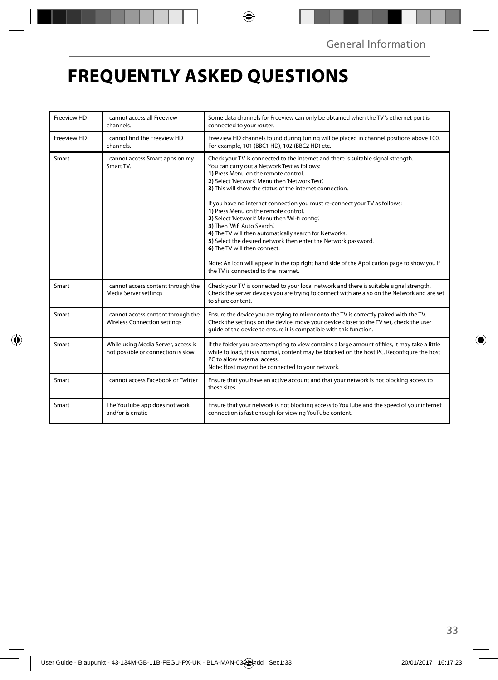## **FREQUENTLY ASKED QUESTIONS**

| Freeview HD | I cannot access all Freeview<br>channels.                                  | Some data channels for Freeview can only be obtained when the TV's ethernet port is<br>connected to your router.                                                                                                                                                                                                                                                                                                                                                                                                                                                                                                                                                                                                                                                                                |  |  |
|-------------|----------------------------------------------------------------------------|-------------------------------------------------------------------------------------------------------------------------------------------------------------------------------------------------------------------------------------------------------------------------------------------------------------------------------------------------------------------------------------------------------------------------------------------------------------------------------------------------------------------------------------------------------------------------------------------------------------------------------------------------------------------------------------------------------------------------------------------------------------------------------------------------|--|--|
| Freeview HD | I cannot find the Freeview HD<br>channels.                                 | Freeview HD channels found during tuning will be placed in channel positions above 100.<br>For example, 101 (BBC1 HD), 102 (BBC2 HD) etc.                                                                                                                                                                                                                                                                                                                                                                                                                                                                                                                                                                                                                                                       |  |  |
| Smart       | I cannot access Smart apps on my<br>Smart TV.                              | Check your TV is connected to the internet and there is suitable signal strength.<br>You can carry out a Network Test as follows:<br>1) Press Menu on the remote control.<br>2) Select 'Network' Menu then 'Network Test'.<br>3) This will show the status of the internet connection.<br>If you have no internet connection you must re-connect your TV as follows:<br>1) Press Menu on the remote control.<br>2) Select 'Network' Menu then 'Wi-fi config'.<br>3) Then 'Wifi Auto Search'.<br>4) The TV will then automatically search for Networks.<br>5) Select the desired network then enter the Network password.<br>6) The TV will then connect.<br>Note: An icon will appear in the top right hand side of the Application page to show you if<br>the TV is connected to the internet. |  |  |
| Smart       | I cannot access content through the<br>Media Server settings               | Check your TV is connected to your local network and there is suitable signal strength.<br>Check the server devices you are trying to connect with are also on the Network and are set<br>to share content.                                                                                                                                                                                                                                                                                                                                                                                                                                                                                                                                                                                     |  |  |
| Smart       | I cannot access content through the<br><b>Wireless Connection settings</b> | Ensure the device you are trying to mirror onto the TV is correctly paired with the TV.<br>Check the settings on the device, move your device closer to the TV set, check the user<br>quide of the device to ensure it is compatible with this function.                                                                                                                                                                                                                                                                                                                                                                                                                                                                                                                                        |  |  |
| Smart       | While using Media Server, access is<br>not possible or connection is slow  | If the folder you are attempting to view contains a large amount of files, it may take a little<br>while to load, this is normal, content may be blocked on the host PC. Reconfigure the host<br>PC to allow external access.<br>Note: Host may not be connected to your network.                                                                                                                                                                                                                                                                                                                                                                                                                                                                                                               |  |  |
| Smart       | Lcannot access Facebook or Twitter                                         | Ensure that you have an active account and that your network is not blocking access to<br>these sites.                                                                                                                                                                                                                                                                                                                                                                                                                                                                                                                                                                                                                                                                                          |  |  |
| Smart       | The YouTube app does not work<br>and/or is erratic                         | Ensure that your network is not blocking access to YouTube and the speed of your internet<br>connection is fast enough for viewing YouTube content.                                                                                                                                                                                                                                                                                                                                                                                                                                                                                                                                                                                                                                             |  |  |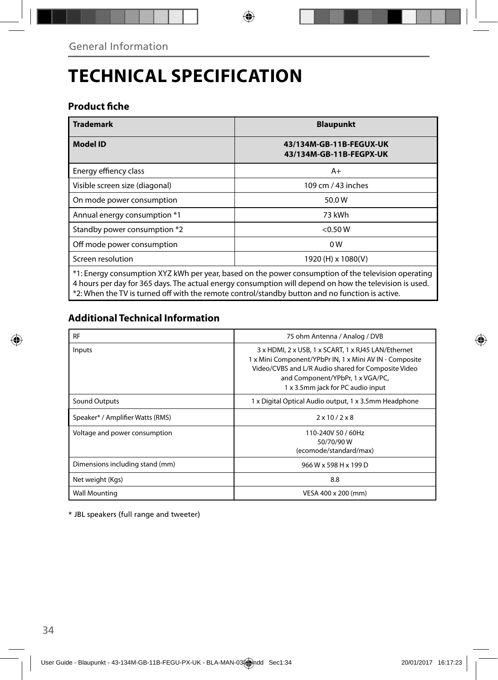## **TECHNICAL SPECIFICATION**

### **Product fiche**

| <b>Trademark</b>                                                                                                                                                                                              | <b>Blaupunkt</b>                                   |  |  |  |
|---------------------------------------------------------------------------------------------------------------------------------------------------------------------------------------------------------------|----------------------------------------------------|--|--|--|
| <b>Model ID</b>                                                                                                                                                                                               | 43/134M-GB-11B-FEGUX-UK<br>43/134M-GB-11B-FEGPX-UK |  |  |  |
| Energy effiency class                                                                                                                                                                                         | $A+$                                               |  |  |  |
| Visible screen size (diagonal)                                                                                                                                                                                | 109 cm / 43 inches                                 |  |  |  |
| On mode power consumption                                                                                                                                                                                     | 50.0W                                              |  |  |  |
| Annual energy consumption *1                                                                                                                                                                                  | 73 kWh                                             |  |  |  |
| Standby power consumption *2                                                                                                                                                                                  | $<$ 0.50 W                                         |  |  |  |
| Off mode power consumption                                                                                                                                                                                    | 0 <sub>W</sub>                                     |  |  |  |
| Screen resolution                                                                                                                                                                                             | 1920 (H) x 1080(V)                                 |  |  |  |
| *1: Energy consumption XYZ kWh per year, based on the power consumption of the television operating<br>4 hours per day for 365 days. The actual energy consumption will depend on how the television is used. |                                                    |  |  |  |

\*2: When the TV is turned off with the remote control/standby button and no function is active.

### **Additional Technical Information**

| <b>RF</b>                        | 75 ohm Antenna / Analog / DVB                                                                                                                                                                                                                  |  |  |
|----------------------------------|------------------------------------------------------------------------------------------------------------------------------------------------------------------------------------------------------------------------------------------------|--|--|
| Inputs                           | 3 x HDMI, 2 x USB, 1 x SCART, 1 x RJ45 LAN/Ethernet<br>1 x Mini Component/YPbPr IN, 1 x Mini AV IN - Composite<br>Video/CVBS and L/R Audio shared for Composite Video<br>and Component/YPbPr, 1 x VGA/PC,<br>1 x 3.5mm jack for PC audio input |  |  |
| Sound Outputs                    | 1 x Digital Optical Audio output, 1 x 3.5mm Headphone                                                                                                                                                                                          |  |  |
| Speaker* / Amplifier Watts (RMS) | $2 \times 10 / 2 \times 8$                                                                                                                                                                                                                     |  |  |
| Voltage and power consumption    | 110-240V 50 / 60Hz<br>50/70/90W<br>(ecomode/standard/max)                                                                                                                                                                                      |  |  |
| Dimensions including stand (mm)  | 966 W x 598 H x 199 D                                                                                                                                                                                                                          |  |  |
| Net weight (Kgs)                 | 8.8                                                                                                                                                                                                                                            |  |  |
| <b>Wall Mounting</b>             | VESA 400 x 200 (mm)                                                                                                                                                                                                                            |  |  |

\* JBL speakers (full range and tweeter)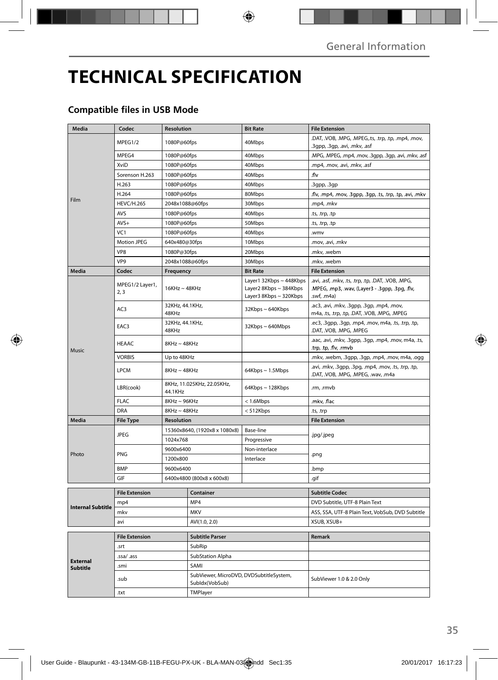## **TECHNICAL SPECIFICATION**

#### **Compatible files in USB Mode**

| Media                              | Codec                   | <b>Resolution</b>                     |                                                           | <b>Bit Rate</b>                                                             | <b>File Extension</b>                                                                                                 |
|------------------------------------|-------------------------|---------------------------------------|-----------------------------------------------------------|-----------------------------------------------------------------------------|-----------------------------------------------------------------------------------------------------------------------|
|                                    | MPEG1/2                 | 1080P@60fps                           |                                                           | 40Mbps                                                                      | .DAT, .VOB, .MPG, .MPEG,.ts, .trp, .tp, .mp4, .mov,<br>.3gpp, .3gp, .avi, .mkv, .asf                                  |
|                                    | MPEG4                   | 1080P@60fps                           |                                                           | 40Mbps                                                                      | .MPG, .MPEG, .mp4, .mov, .3gpp, .3gp, .avi, .mkv, .asf                                                                |
|                                    | XviD                    | 1080P@60fps                           |                                                           | 40Mbps                                                                      | .mp4, .mov, .avi, .mkv, .asf                                                                                          |
|                                    | Sorenson H.263          | 1080P@60fps                           |                                                           | 40Mbps                                                                      | .flv                                                                                                                  |
|                                    | H.263                   | 1080P@60fps                           |                                                           | 40Mbps                                                                      | .3gpp, .3gp                                                                                                           |
|                                    | H.264                   | 1080P@60fps                           |                                                           | 80Mbps                                                                      | .flv, .mp4, .mov, .3gpp, .3gp, .ts, .trp, .tp, .avi, .mkv                                                             |
| Film                               | <b>HEVC/H.265</b>       | 2048x1088@60fps                       |                                                           | 30Mbps                                                                      | .mp4, .mkv                                                                                                            |
|                                    | <b>AVS</b>              | 1080P@60fps                           |                                                           | 40Mbps                                                                      | ts, .trp, .tp.                                                                                                        |
|                                    | $AVS+$                  | 1080P@60fps                           |                                                           | 50Mbps                                                                      | ts, .trp, .tp.                                                                                                        |
|                                    | VC <sub>1</sub>         | 1080P@60fps                           |                                                           | 40Mbps                                                                      | .wmv                                                                                                                  |
|                                    | Motion JPEG             | 640x480@30fps                         |                                                           | 10Mbps                                                                      | .mov, .avi, .mkv                                                                                                      |
|                                    | VP <sub>8</sub>         | 1080P@30fps                           |                                                           | 20Mbps                                                                      | .mkv, .webm                                                                                                           |
|                                    | VP9                     | 2048x1088@60fps                       |                                                           | 30Mbps                                                                      | .mkv, .webm                                                                                                           |
| Media                              | Codec                   | Frequency                             |                                                           | <b>Bit Rate</b>                                                             | <b>File Extension</b>                                                                                                 |
|                                    | MPEG1/2 Layer1,<br>2, 3 | $16KHz \sim 48KHz$                    |                                                           | Layer1 32Kbps ~ 448Kbps<br>Layer2 8Kbps ~ 384Kbps<br>Layer3 8Kbps ~ 320Kbps | .avi, .asf, .mkv, .ts, .trp, .tp, .DAT, .VOB, .MPG,<br>.MPEG, .mp3, .wav, (Layer3 - .3gpp, .3pg, .flv,<br>.swf, .m4a) |
|                                    | AC3                     | 32KHz, 44.1KHz,<br>48KHz              |                                                           | $32Kbps \sim 640Kbps$                                                       | .ac3, .avi, .mkv, .3gpp, .3gp, .mp4, .mov,<br>m4a, .ts, .trp, .tp, .DAT, .VOB, .MPG, .MPEG                            |
| Music                              | EAC3                    | 32KHz, 44.1KHz,<br>48KHz              |                                                           | 32Kbps~640Mbps                                                              | .ec3, .3gpp, .3gp, .mp4, .mov, m4a, .ts, .trp, .tp,<br>.DAT, .VOB, .MPG, .MPEG                                        |
|                                    | <b>HEAAC</b>            | $8KHz \sim 48KHz$                     |                                                           |                                                                             | .aac, .avi, .mkv, .3gpp, .3gp, .mp4, .mov, m4a, .ts,<br>trp, .tp, .flv, .rmvb.                                        |
|                                    | <b>VORBIS</b>           | Up to 48KHz                           |                                                           |                                                                             | .mkv, .webm, .3gpp, .3gp, .mp4, .mov, m4a, .ogg                                                                       |
|                                    | <b>LPCM</b>             | $8$ KHz ~ 48KHz                       |                                                           | 64Kbps ~ 1.5Mbps                                                            | .avi, .mkv, .3gpp, .3pg, .mp4, .mov, .ts, .trp, .tp,<br>.DAT, .VOB, .MPG, .MPEG, .wav, .m4a                           |
|                                    | LBR(cook)               | 8KHz, 11.025KHz, 22.05KHz,<br>44.1KHz |                                                           | 64Kbps ~ 128Kbps                                                            | .rm, .rmvb                                                                                                            |
|                                    | <b>FLAC</b>             | $8KHz \sim 96KHz$                     |                                                           | < 1.6Mbps                                                                   | .mkv, .flac                                                                                                           |
|                                    | DRA                     | $8KHz \sim 48KHz$                     |                                                           | < 512Kbps                                                                   | ts, trp.                                                                                                              |
| Media                              | <b>File Type</b>        | <b>Resolution</b>                     |                                                           |                                                                             | <b>File Extension</b>                                                                                                 |
| Photo                              | <b>JPEG</b>             | 15360x8640, (1920x8 x 1080x8)         |                                                           | Base-line                                                                   | .jpg/.jpeg                                                                                                            |
|                                    |                         | 1024x768                              |                                                           | Progressive                                                                 |                                                                                                                       |
|                                    | <b>PNG</b>              | 9600x6400                             |                                                           | Non-interlace                                                               | .png                                                                                                                  |
|                                    |                         | 1200x800                              |                                                           | Interlace                                                                   |                                                                                                                       |
|                                    | <b>BMP</b>              | 9600x6400                             |                                                           |                                                                             | .bmp                                                                                                                  |
|                                    | GIF                     | 6400x4800 (800x8 x 600x8)             |                                                           |                                                                             | .gif                                                                                                                  |
|                                    | <b>File Extension</b>   | Container                             |                                                           |                                                                             | <b>Subtitle Codec</b>                                                                                                 |
|                                    | mp4                     |                                       | MP4                                                       |                                                                             | DVD Subtitle, UTF-8 Plain Text                                                                                        |
| <b>Internal Subtitle</b>           | mkv                     |                                       |                                                           |                                                                             | ASS, SSA, UTF-8 Plain Text, VobSub, DVD Subtitle                                                                      |
|                                    | avi                     |                                       | <b>MKV</b><br>AVI(1.0, 2.0)                               |                                                                             | XSUB, XSUB+                                                                                                           |
|                                    |                         |                                       |                                                           |                                                                             |                                                                                                                       |
| <b>External</b><br><b>Subtitle</b> | <b>File Extension</b>   |                                       | <b>Subtitle Parser</b>                                    |                                                                             | Remark                                                                                                                |
|                                    | .srt                    |                                       | SubRip                                                    |                                                                             |                                                                                                                       |
|                                    | .ssa/ .ass              |                                       | SubStation Alpha                                          |                                                                             |                                                                                                                       |
|                                    | .smi                    |                                       | SAMI                                                      |                                                                             |                                                                                                                       |
|                                    | .sub                    |                                       | SubViewer, MicroDVD, DVDSubtitleSystem,<br>Subldx(VobSub) |                                                                             | SubViewer 1.0 & 2.0 Only                                                                                              |
|                                    | .txt                    |                                       | TMPlayer                                                  |                                                                             |                                                                                                                       |